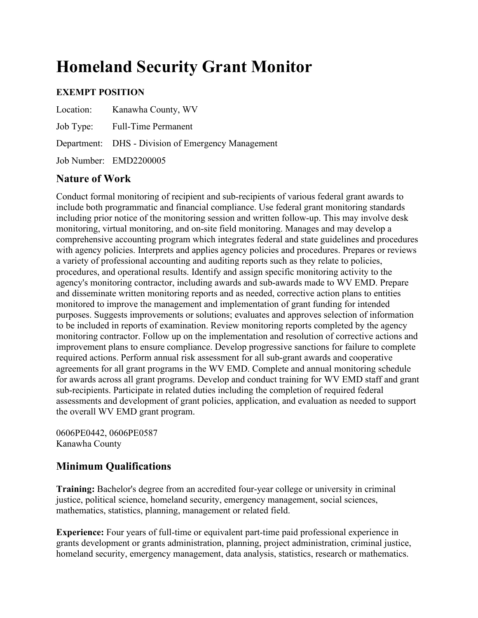# **Homeland Security Grant Monitor**

## **EXEMPT POSITION**

| Location: Kanawha County, WV                       |
|----------------------------------------------------|
| Job Type: Full-Time Permanent                      |
| Department: DHS - Division of Emergency Management |
| Job Number: EMD2200005                             |

### **Nature of Work**

Conduct formal monitoring of recipient and sub-recipients of various federal grant awards to include both programmatic and financial compliance. Use federal grant monitoring standards including prior notice of the monitoring session and written follow-up. This may involve desk monitoring, virtual monitoring, and on-site field monitoring. Manages and may develop a comprehensive accounting program which integrates federal and state guidelines and procedures with agency policies. Interprets and applies agency policies and procedures. Prepares or reviews a variety of professional accounting and auditing reports such as they relate to policies, procedures, and operational results. Identify and assign specific monitoring activity to the agency's monitoring contractor, including awards and sub-awards made to WV EMD. Prepare and disseminate written monitoring reports and as needed, corrective action plans to entities monitored to improve the management and implementation of grant funding for intended purposes. Suggests improvements or solutions; evaluates and approves selection of information to be included in reports of examination. Review monitoring reports completed by the agency monitoring contractor. Follow up on the implementation and resolution of corrective actions and improvement plans to ensure compliance. Develop progressive sanctions for failure to complete required actions. Perform annual risk assessment for all sub-grant awards and cooperative agreements for all grant programs in the WV EMD. Complete and annual monitoring schedule for awards across all grant programs. Develop and conduct training for WV EMD staff and grant sub-recipients. Participate in related duties including the completion of required federal assessments and development of grant policies, application, and evaluation as needed to support the overall WV EMD grant program.

0606PE0442, 0606PE0587 Kanawha County

### **Minimum Qualifications**

**Training:** Bachelor's degree from an accredited four-year college or university in criminal justice, political science, homeland security, emergency management, social sciences, mathematics, statistics, planning, management or related field.

**Experience:** Four years of full-time or equivalent part-time paid professional experience in grants development or grants administration, planning, project administration, criminal justice, homeland security, emergency management, data analysis, statistics, research or mathematics.